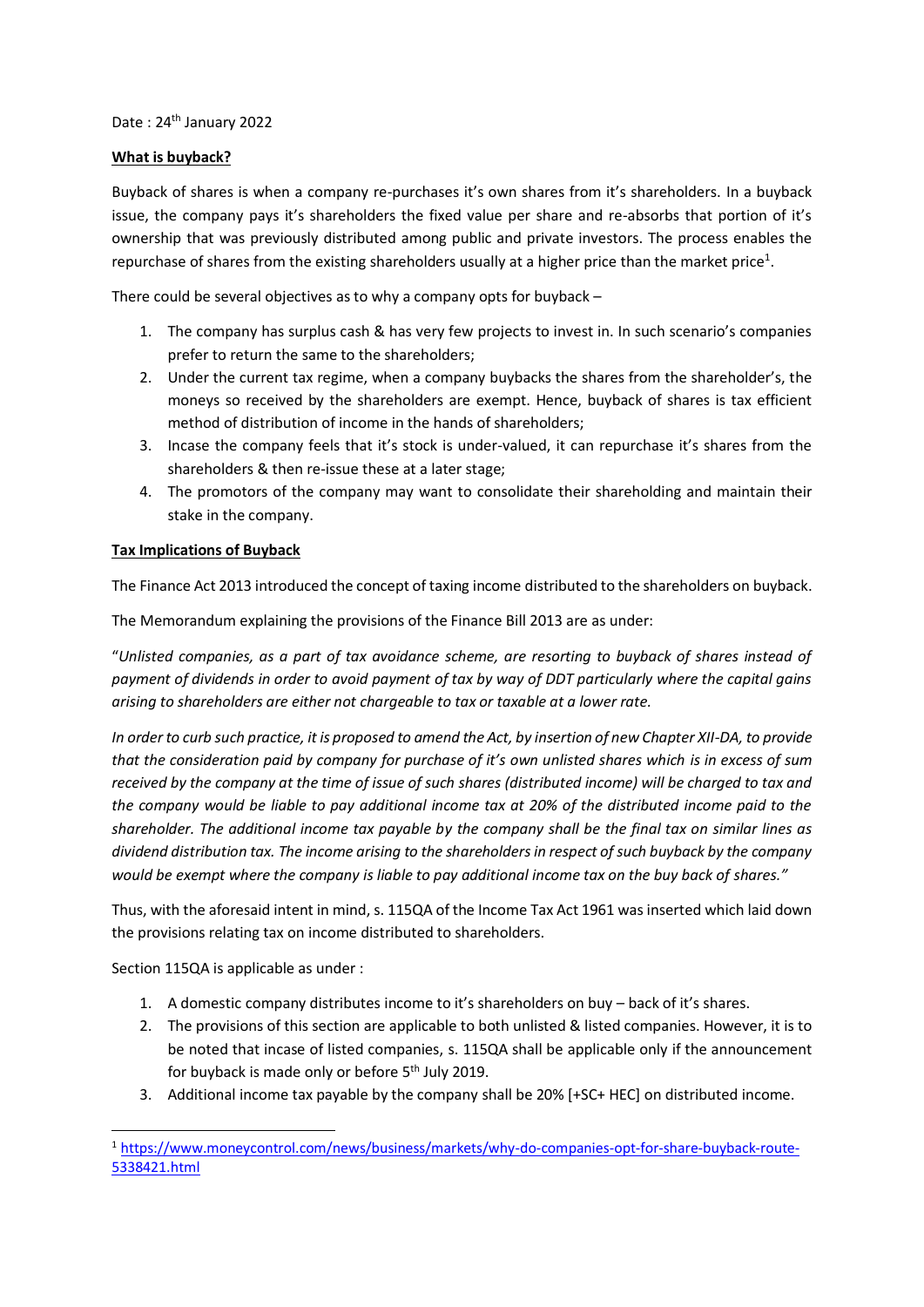Date: 24<sup>th</sup> January 2022

## **What is buyback?**

Buyback of shares is when a company re-purchases it's own shares from it's shareholders. In a buyback issue, the company pays it's shareholders the fixed value per share and re-absorbs that portion of it's ownership that was previously distributed among public and private investors. The process enables the repurchase of shares from the existing shareholders usually at a higher price than the market price<sup>1</sup>.

There could be several objectives as to why a company opts for buyback –

- 1. The company has surplus cash & has very few projects to invest in. In such scenario's companies prefer to return the same to the shareholders;
- 2. Under the current tax regime, when a company buybacks the shares from the shareholder's, the moneys so received by the shareholders are exempt. Hence, buyback of shares is tax efficient method of distribution of income in the hands of shareholders;
- 3. Incase the company feels that it's stock is under-valued, it can repurchase it's shares from the shareholders & then re-issue these at a later stage;
- 4. The promotors of the company may want to consolidate their shareholding and maintain their stake in the company.

# **Tax Implications of Buyback**

The Finance Act 2013 introduced the concept of taxing income distributed to the shareholders on buyback.

The Memorandum explaining the provisions of the Finance Bill 2013 are as under:

"*Unlisted companies, as a part of tax avoidance scheme, are resorting to buyback of shares instead of payment of dividends in order to avoid payment of tax by way of DDT particularly where the capital gains arising to shareholders are either not chargeable to tax or taxable at a lower rate.* 

*In order to curb such practice, it is proposed to amend the Act, by insertion of new Chapter XII-DA, to provide that the consideration paid by company for purchase of it's own unlisted shares which is in excess of sum received by the company at the time of issue of such shares (distributed income) will be charged to tax and the company would be liable to pay additional income tax at 20% of the distributed income paid to the shareholder. The additional income tax payable by the company shall be the final tax on similar lines as dividend distribution tax. The income arising to the shareholders in respect of such buyback by the company would be exempt where the company is liable to pay additional income tax on the buy back of shares."* 

Thus, with the aforesaid intent in mind, s. 115QA of the Income Tax Act 1961 was inserted which laid down the provisions relating tax on income distributed to shareholders.

Section 115QA is applicable as under :

-

- 1. A domestic company distributes income to it's shareholders on buy back of it's shares.
- 2. The provisions of this section are applicable to both unlisted & listed companies. However, it is to be noted that incase of listed companies, s. 115QA shall be applicable only if the announcement for buyback is made only or before 5<sup>th</sup> July 2019.
- 3. Additional income tax payable by the company shall be 20% [+SC+ HEC] on distributed income.

<sup>1</sup> [https://www.moneycontrol.com/news/business/markets/why-do-companies-opt-for-share-buyback-route-](https://www.moneycontrol.com/news/business/markets/why-do-companies-opt-for-share-buyback-route-5338421.html)[5338421.html](https://www.moneycontrol.com/news/business/markets/why-do-companies-opt-for-share-buyback-route-5338421.html)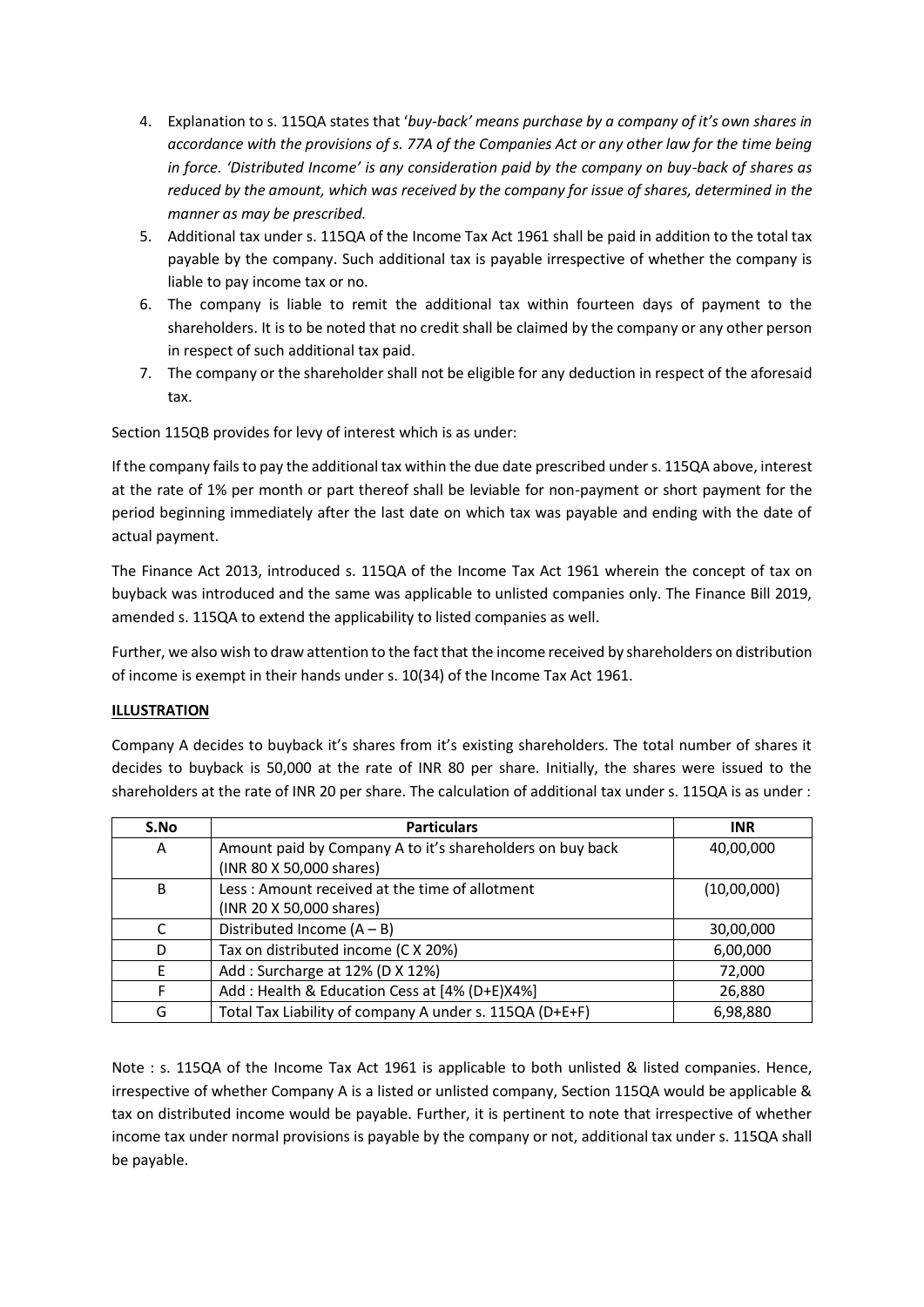- 4. Explanation to s. 115QA states that '*buy-back' means purchase by a company of it's own shares in accordance with the provisions of s. 77A of the Companies Act or any other law for the time being in force. 'Distributed Income' is any consideration paid by the company on buy-back of shares as reduced by the amount, which was received by the company for issue of shares, determined in the manner as may be prescribed.*
- 5. Additional tax under s. 115QA of the Income Tax Act 1961 shall be paid in addition to the total tax payable by the company. Such additional tax is payable irrespective of whether the company is liable to pay income tax or no.
- 6. The company is liable to remit the additional tax within fourteen days of payment to the shareholders. It is to be noted that no credit shall be claimed by the company or any other person in respect of such additional tax paid.
- 7. The company or the shareholder shall not be eligible for any deduction in respect of the aforesaid tax.

Section 115QB provides for levy of interest which is as under:

If the company fails to pay the additional tax within the due date prescribed under s. 115QA above, interest at the rate of 1% per month or part thereof shall be leviable for non-payment or short payment for the period beginning immediately after the last date on which tax was payable and ending with the date of actual payment.

The Finance Act 2013, introduced s. 115QA of the Income Tax Act 1961 wherein the concept of tax on buyback was introduced and the same was applicable to unlisted companies only. The Finance Bill 2019, amended s. 115QA to extend the applicability to listed companies as well.

Further, we also wish to draw attention to the fact that the income received by shareholders on distribution of income is exempt in their hands under s. 10(34) of the Income Tax Act 1961.

## **ILLUSTRATION**

Company A decides to buyback it's shares from it's existing shareholders. The total number of shares it decides to buyback is 50,000 at the rate of INR 80 per share. Initially, the shares were issued to the shareholders at the rate of INR 20 per share. The calculation of additional tax under s. 115QA is as under :

| S.No | <b>Particulars</b>                                        | <b>INR</b>  |
|------|-----------------------------------------------------------|-------------|
| Α    | Amount paid by Company A to it's shareholders on buy back | 40,00,000   |
|      | (INR 80 X 50,000 shares)                                  |             |
| B    | Less: Amount received at the time of allotment            | (10,00,000) |
|      | (INR 20 X 50,000 shares)                                  |             |
| C    | Distributed Income $(A - B)$                              | 30,00,000   |
| D    | Tax on distributed income (C X 20%)                       | 6,00,000    |
|      | Add: Surcharge at 12% (D X 12%)                           | 72,000      |
|      | Add: Health & Education Cess at [4% (D+E)X4%]             | 26,880      |
| G    | Total Tax Liability of company A under s. 115QA (D+E+F)   | 6,98,880    |

Note : s. 115QA of the Income Tax Act 1961 is applicable to both unlisted & listed companies. Hence, irrespective of whether Company A is a listed or unlisted company, Section 115QA would be applicable & tax on distributed income would be payable. Further, it is pertinent to note that irrespective of whether income tax under normal provisions is payable by the company or not, additional tax under s. 115QA shall be payable.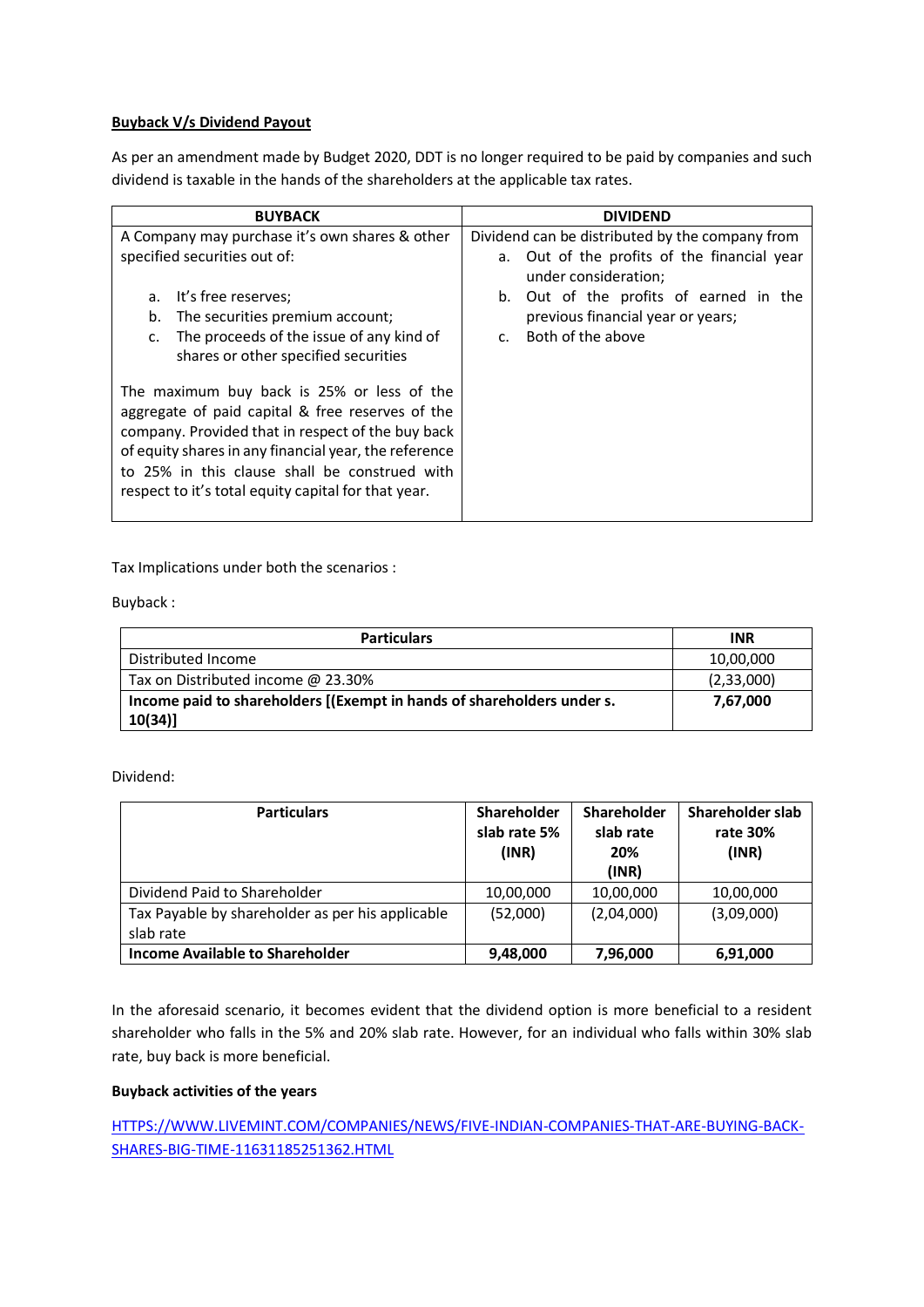## **Buyback V/s Dividend Payout**

As per an amendment made by Budget 2020, DDT is no longer required to be paid by companies and such dividend is taxable in the hands of the shareholders at the applicable tax rates.

| <b>BUYBACK</b>                                                                                                                                                                                                                                                                                                       | <b>DIVIDEND</b>                                                        |  |  |
|----------------------------------------------------------------------------------------------------------------------------------------------------------------------------------------------------------------------------------------------------------------------------------------------------------------------|------------------------------------------------------------------------|--|--|
| A Company may purchase it's own shares & other                                                                                                                                                                                                                                                                       | Dividend can be distributed by the company from                        |  |  |
| specified securities out of:                                                                                                                                                                                                                                                                                         | Out of the profits of the financial year<br>a.<br>under consideration; |  |  |
| It's free reserves;<br>a.                                                                                                                                                                                                                                                                                            | Out of the profits of earned in the<br>b.                              |  |  |
| b.<br>The securities premium account;                                                                                                                                                                                                                                                                                | previous financial year or years;                                      |  |  |
| The proceeds of the issue of any kind of<br>c.<br>shares or other specified securities                                                                                                                                                                                                                               | Both of the above<br>$\mathsf{C}$ .                                    |  |  |
| The maximum buy back is 25% or less of the<br>aggregate of paid capital & free reserves of the<br>company. Provided that in respect of the buy back<br>of equity shares in any financial year, the reference<br>to 25% in this clause shall be construed with<br>respect to it's total equity capital for that year. |                                                                        |  |  |
|                                                                                                                                                                                                                                                                                                                      |                                                                        |  |  |

Tax Implications under both the scenarios :

Buyback :

| <b>Particulars</b>                                                     | <b>INR</b>   |
|------------------------------------------------------------------------|--------------|
| Distributed Income                                                     | 10,00,000    |
| Tax on Distributed income @ 23.30%                                     | (2, 33, 000) |
| Income paid to shareholders [(Exempt in hands of shareholders under s. | 7,67,000     |
| $10(34)$ ]                                                             |              |

## Dividend:

| <b>Particulars</b>                                            | Shareholder<br>slab rate 5%<br>(INR) | Shareholder<br>slab rate<br>20%<br>(INR) | Shareholder slab<br>rate 30%<br>(INR) |
|---------------------------------------------------------------|--------------------------------------|------------------------------------------|---------------------------------------|
| Dividend Paid to Shareholder                                  | 10,00,000                            | 10,00,000                                | 10,00,000                             |
| Tax Payable by shareholder as per his applicable<br>slab rate | (52,000)                             | (2,04,000)                               | (3,09,000)                            |
| Income Available to Shareholder                               | 9,48,000                             | 7,96,000                                 | 6,91,000                              |

In the aforesaid scenario, it becomes evident that the dividend option is more beneficial to a resident shareholder who falls in the 5% and 20% slab rate. However, for an individual who falls within 30% slab rate, buy back is more beneficial.

## **Buyback activities of the years**

[HTTPS://WWW.LIVEMINT.COM/COMPANIES/NEWS/FIVE-INDIAN-COMPANIES-THAT-ARE-BUYING-BACK-](https://www.livemint.com/companies/news/five-indian-companies-that-are-buying-back-shares-big-time-11631185251362.html)[SHARES-BIG-TIME-11631185251362.HTML](https://www.livemint.com/companies/news/five-indian-companies-that-are-buying-back-shares-big-time-11631185251362.html)